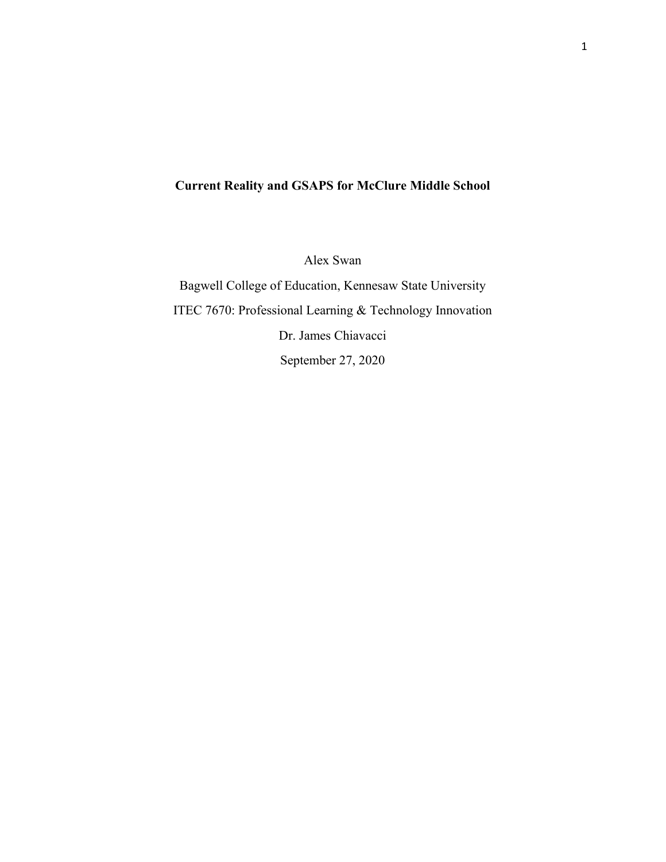# **Current Reality and GSAPS for McClure Middle School**

Alex Swan

Bagwell College of Education, Kennesaw State University ITEC 7670: Professional Learning & Technology Innovation Dr. James Chiavacci September 27, 2020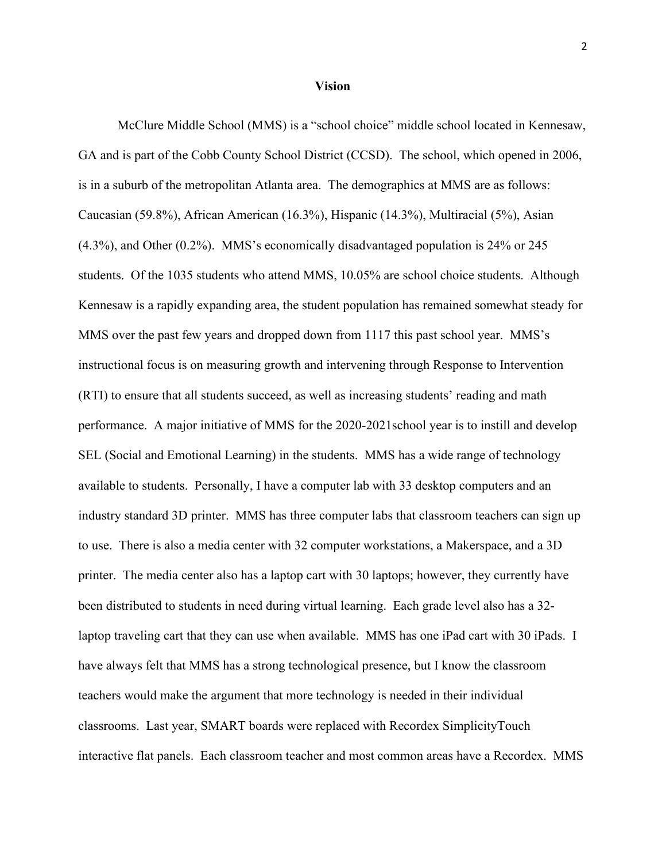#### **Vision**

McClure Middle School (MMS) is a "school choice" middle school located in Kennesaw, GA and is part of the Cobb County School District (CCSD). The school, which opened in 2006, is in a suburb of the metropolitan Atlanta area. The demographics at MMS are as follows: Caucasian (59.8%), African American (16.3%), Hispanic (14.3%), Multiracial (5%), Asian (4.3%), and Other (0.2%). MMS's economically disadvantaged population is 24% or 245 students. Of the 1035 students who attend MMS, 10.05% are school choice students. Although Kennesaw is a rapidly expanding area, the student population has remained somewhat steady for MMS over the past few years and dropped down from 1117 this past school year. MMS's instructional focus is on measuring growth and intervening through Response to Intervention (RTI) to ensure that all students succeed, as well as increasing students' reading and math performance. A major initiative of MMS for the 2020-2021school year is to instill and develop SEL (Social and Emotional Learning) in the students. MMS has a wide range of technology available to students. Personally, I have a computer lab with 33 desktop computers and an industry standard 3D printer. MMS has three computer labs that classroom teachers can sign up to use. There is also a media center with 32 computer workstations, a Makerspace, and a 3D printer. The media center also has a laptop cart with 30 laptops; however, they currently have been distributed to students in need during virtual learning. Each grade level also has a 32 laptop traveling cart that they can use when available. MMS has one iPad cart with 30 iPads. I have always felt that MMS has a strong technological presence, but I know the classroom teachers would make the argument that more technology is needed in their individual classrooms. Last year, SMART boards were replaced with Recordex SimplicityTouch interactive flat panels. Each classroom teacher and most common areas have a Recordex. MMS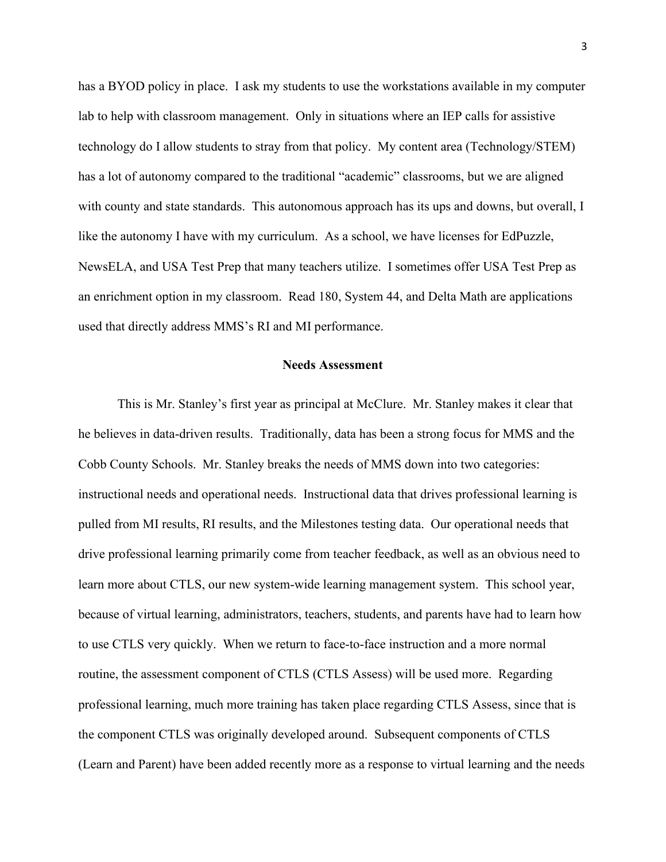has a BYOD policy in place. I ask my students to use the workstations available in my computer lab to help with classroom management. Only in situations where an IEP calls for assistive technology do I allow students to stray from that policy. My content area (Technology/STEM) has a lot of autonomy compared to the traditional "academic" classrooms, but we are aligned with county and state standards. This autonomous approach has its ups and downs, but overall, I like the autonomy I have with my curriculum. As a school, we have licenses for EdPuzzle, NewsELA, and USA Test Prep that many teachers utilize. I sometimes offer USA Test Prep as an enrichment option in my classroom. Read 180, System 44, and Delta Math are applications used that directly address MMS's RI and MI performance.

#### **Needs Assessment**

This is Mr. Stanley's first year as principal at McClure. Mr. Stanley makes it clear that he believes in data-driven results. Traditionally, data has been a strong focus for MMS and the Cobb County Schools. Mr. Stanley breaks the needs of MMS down into two categories: instructional needs and operational needs. Instructional data that drives professional learning is pulled from MI results, RI results, and the Milestones testing data. Our operational needs that drive professional learning primarily come from teacher feedback, as well as an obvious need to learn more about CTLS, our new system-wide learning management system. This school year, because of virtual learning, administrators, teachers, students, and parents have had to learn how to use CTLS very quickly. When we return to face-to-face instruction and a more normal routine, the assessment component of CTLS (CTLS Assess) will be used more. Regarding professional learning, much more training has taken place regarding CTLS Assess, since that is the component CTLS was originally developed around. Subsequent components of CTLS (Learn and Parent) have been added recently more as a response to virtual learning and the needs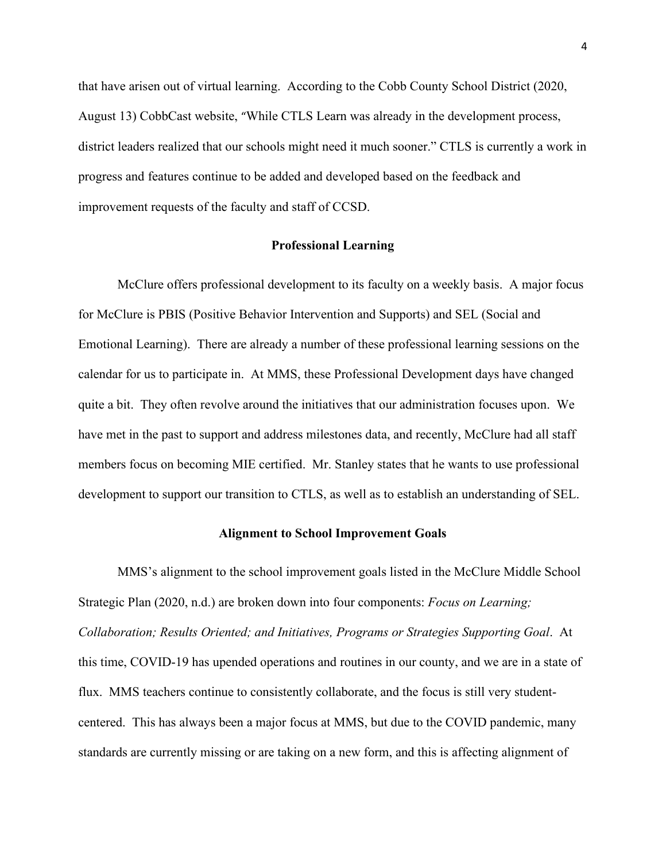that have arisen out of virtual learning. According to the Cobb County School District (2020, August 13) CobbCast website, "While CTLS Learn was already in the development process, district leaders realized that our schools might need it much sooner." CTLS is currently a work in progress and features continue to be added and developed based on the feedback and improvement requests of the faculty and staff of CCSD.

#### **Professional Learning**

McClure offers professional development to its faculty on a weekly basis. A major focus for McClure is PBIS (Positive Behavior Intervention and Supports) and SEL (Social and Emotional Learning). There are already a number of these professional learning sessions on the calendar for us to participate in. At MMS, these Professional Development days have changed quite a bit. They often revolve around the initiatives that our administration focuses upon. We have met in the past to support and address milestones data, and recently, McClure had all staff members focus on becoming MIE certified. Mr. Stanley states that he wants to use professional development to support our transition to CTLS, as well as to establish an understanding of SEL.

### **Alignment to School Improvement Goals**

MMS's alignment to the school improvement goals listed in the McClure Middle School Strategic Plan (2020, n.d.) are broken down into four components: *Focus on Learning; Collaboration; Results Oriented; and Initiatives, Programs or Strategies Supporting Goal*. At this time, COVID-19 has upended operations and routines in our county, and we are in a state of flux. MMS teachers continue to consistently collaborate, and the focus is still very studentcentered. This has always been a major focus at MMS, but due to the COVID pandemic, many standards are currently missing or are taking on a new form, and this is affecting alignment of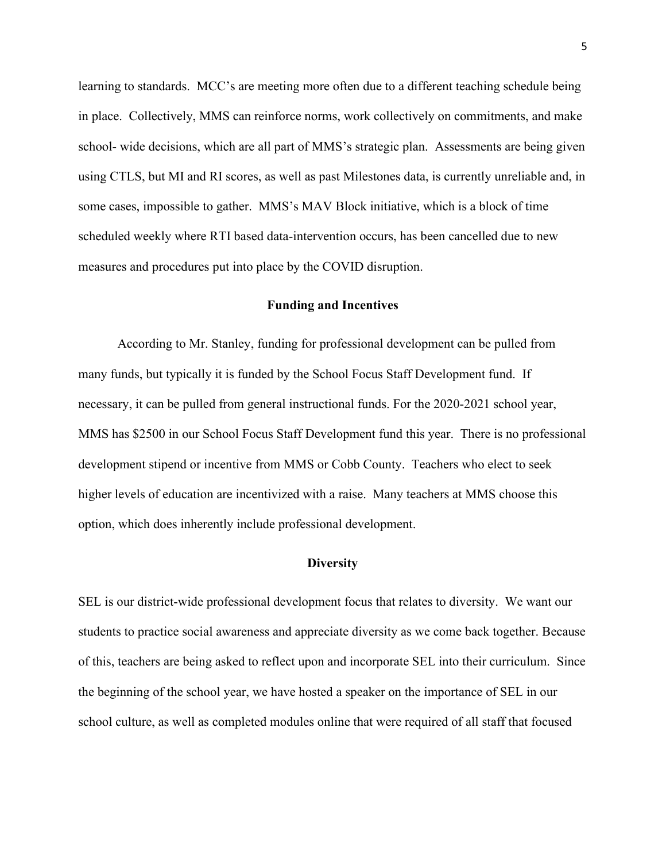learning to standards. MCC's are meeting more often due to a different teaching schedule being in place. Collectively, MMS can reinforce norms, work collectively on commitments, and make school- wide decisions, which are all part of MMS's strategic plan. Assessments are being given using CTLS, but MI and RI scores, as well as past Milestones data, is currently unreliable and, in some cases, impossible to gather. MMS's MAV Block initiative, which is a block of time scheduled weekly where RTI based data-intervention occurs, has been cancelled due to new measures and procedures put into place by the COVID disruption.

#### **Funding and Incentives**

According to Mr. Stanley, funding for professional development can be pulled from many funds, but typically it is funded by the School Focus Staff Development fund. If necessary, it can be pulled from general instructional funds. For the 2020-2021 school year, MMS has \$2500 in our School Focus Staff Development fund this year. There is no professional development stipend or incentive from MMS or Cobb County. Teachers who elect to seek higher levels of education are incentivized with a raise. Many teachers at MMS choose this option, which does inherently include professional development.

#### **Diversity**

SEL is our district-wide professional development focus that relates to diversity. We want our students to practice social awareness and appreciate diversity as we come back together. Because of this, teachers are being asked to reflect upon and incorporate SEL into their curriculum. Since the beginning of the school year, we have hosted a speaker on the importance of SEL in our school culture, as well as completed modules online that were required of all staff that focused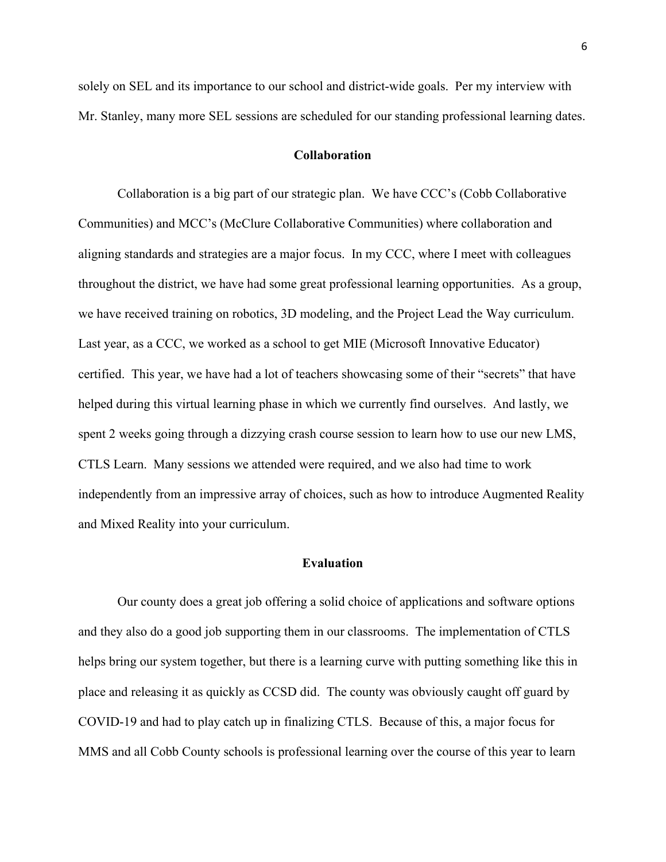solely on SEL and its importance to our school and district-wide goals. Per my interview with Mr. Stanley, many more SEL sessions are scheduled for our standing professional learning dates.

#### **Collaboration**

Collaboration is a big part of our strategic plan. We have CCC's (Cobb Collaborative Communities) and MCC's (McClure Collaborative Communities) where collaboration and aligning standards and strategies are a major focus. In my CCC, where I meet with colleagues throughout the district, we have had some great professional learning opportunities. As a group, we have received training on robotics, 3D modeling, and the Project Lead the Way curriculum. Last year, as a CCC, we worked as a school to get MIE (Microsoft Innovative Educator) certified. This year, we have had a lot of teachers showcasing some of their "secrets" that have helped during this virtual learning phase in which we currently find ourselves. And lastly, we spent 2 weeks going through a dizzying crash course session to learn how to use our new LMS, CTLS Learn. Many sessions we attended were required, and we also had time to work independently from an impressive array of choices, such as how to introduce Augmented Reality and Mixed Reality into your curriculum.

### **Evaluation**

Our county does a great job offering a solid choice of applications and software options and they also do a good job supporting them in our classrooms. The implementation of CTLS helps bring our system together, but there is a learning curve with putting something like this in place and releasing it as quickly as CCSD did. The county was obviously caught off guard by COVID-19 and had to play catch up in finalizing CTLS. Because of this, a major focus for MMS and all Cobb County schools is professional learning over the course of this year to learn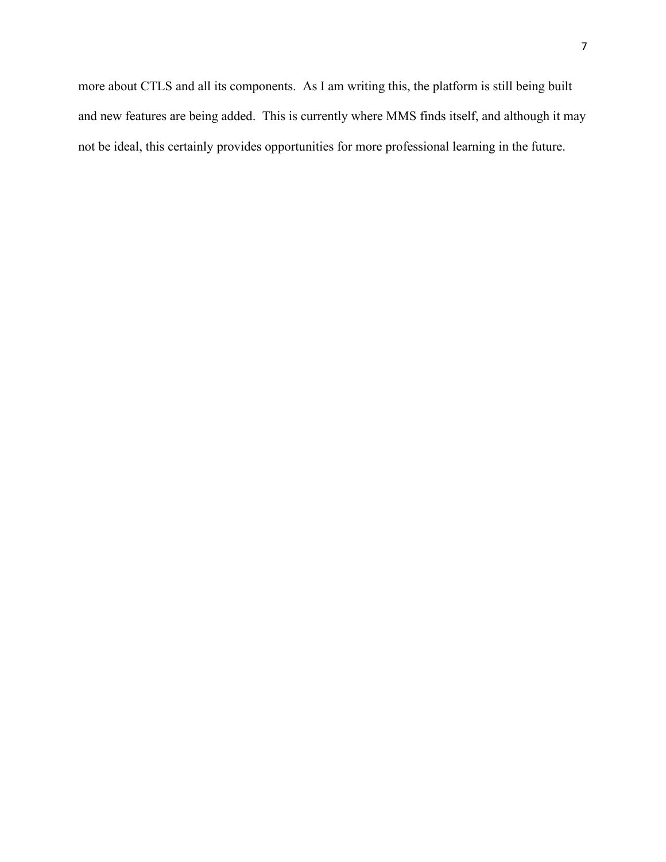more about CTLS and all its components. As I am writing this, the platform is still being built and new features are being added. This is currently where MMS finds itself, and although it may not be ideal, this certainly provides opportunities for more professional learning in the future.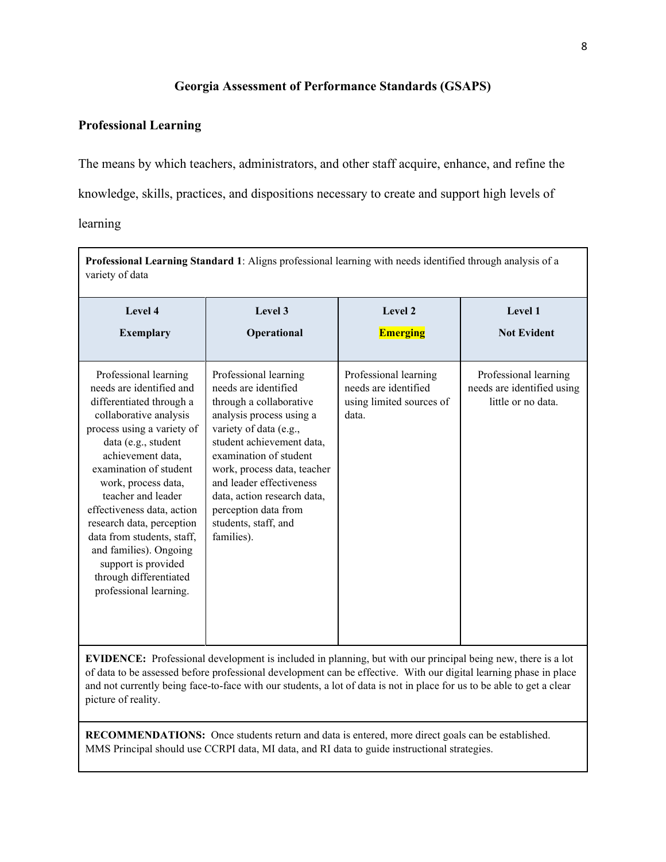## **Georgia Assessment of Performance Standards (GSAPS)**

### **Professional Learning**

The means by which teachers, administrators, and other staff acquire, enhance, and refine the

knowledge, skills, practices, and dispositions necessary to create and support high levels of

learning

| Professional Learning Standard 1: Aligns professional learning with needs identified through analysis of a<br>variety of data                                                                                                                                                                                                                                                                                                                          |                                                                                                                                                                                                                                                                                                                                               |                                                                                    |                                                                           |
|--------------------------------------------------------------------------------------------------------------------------------------------------------------------------------------------------------------------------------------------------------------------------------------------------------------------------------------------------------------------------------------------------------------------------------------------------------|-----------------------------------------------------------------------------------------------------------------------------------------------------------------------------------------------------------------------------------------------------------------------------------------------------------------------------------------------|------------------------------------------------------------------------------------|---------------------------------------------------------------------------|
| Level 4<br><b>Exemplary</b>                                                                                                                                                                                                                                                                                                                                                                                                                            | Level 3<br>Operational                                                                                                                                                                                                                                                                                                                        | Level 2<br><b>Emerging</b>                                                         | Level 1<br><b>Not Evident</b>                                             |
| Professional learning<br>needs are identified and<br>differentiated through a<br>collaborative analysis<br>process using a variety of<br>data (e.g., student<br>achievement data,<br>examination of student<br>work, process data,<br>teacher and leader<br>effectiveness data, action<br>research data, perception<br>data from students, staff,<br>and families). Ongoing<br>support is provided<br>through differentiated<br>professional learning. | Professional learning<br>needs are identified<br>through a collaborative<br>analysis process using a<br>variety of data (e.g.,<br>student achievement data,<br>examination of student<br>work, process data, teacher<br>and leader effectiveness<br>data, action research data,<br>perception data from<br>students, staff, and<br>families). | Professional learning<br>needs are identified<br>using limited sources of<br>data. | Professional learning<br>needs are identified using<br>little or no data. |

**EVIDENCE:** Professional development is included in planning, but with our principal being new, there is a lot of data to be assessed before professional development can be effective. With our digital learning phase in place and not currently being face-to-face with our students, a lot of data is not in place for us to be able to get a clear picture of reality.

**RECOMMENDATIONS:** Once students return and data is entered, more direct goals can be established. MMS Principal should use CCRPI data, MI data, and RI data to guide instructional strategies.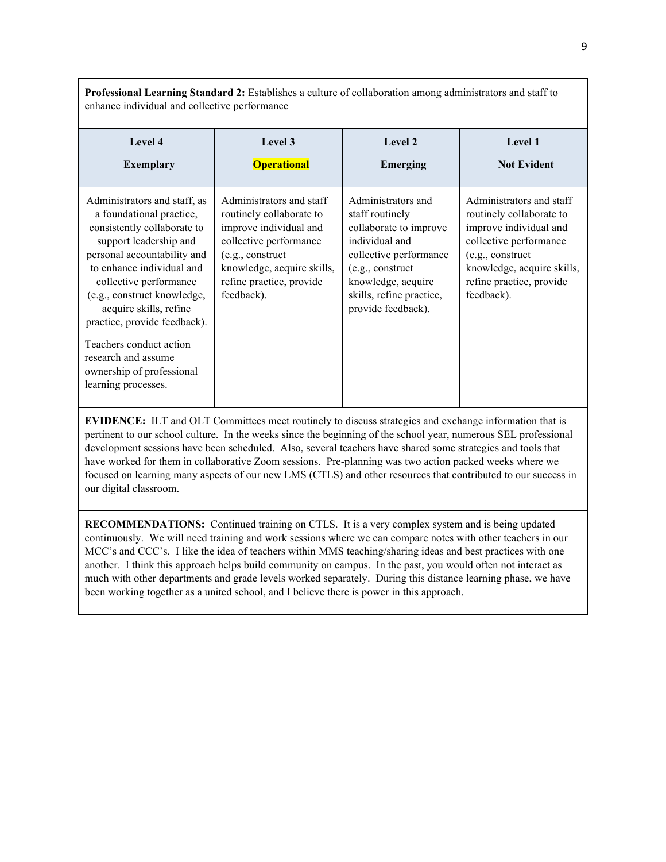**Professional Learning Standard 2:** Establishes a culture of collaboration among administrators and staff to enhance individual and collective performance

| Level 4<br><b>Exemplary</b>                                                                                                                                                                                                                                                                      | Level 3<br><b>Operational</b>                                                                                                                                                                        | Level 2<br>Emerging                                                                                                                                                                                     | Level 1<br><b>Not Evident</b>                                                                                                                                                                        |
|--------------------------------------------------------------------------------------------------------------------------------------------------------------------------------------------------------------------------------------------------------------------------------------------------|------------------------------------------------------------------------------------------------------------------------------------------------------------------------------------------------------|---------------------------------------------------------------------------------------------------------------------------------------------------------------------------------------------------------|------------------------------------------------------------------------------------------------------------------------------------------------------------------------------------------------------|
|                                                                                                                                                                                                                                                                                                  |                                                                                                                                                                                                      |                                                                                                                                                                                                         |                                                                                                                                                                                                      |
| Administrators and staff, as<br>a foundational practice,<br>consistently collaborate to<br>support leadership and<br>personal accountability and<br>to enhance individual and<br>collective performance<br>(e.g., construct knowledge,<br>acquire skills, refine<br>practice, provide feedback). | Administrators and staff<br>routinely collaborate to<br>improve individual and<br>collective performance<br>(e.g., construct<br>knowledge, acquire skills,<br>refine practice, provide<br>feedback). | Administrators and<br>staff routinely<br>collaborate to improve<br>individual and<br>collective performance<br>(e.g., construct<br>knowledge, acquire<br>skills, refine practice,<br>provide feedback). | Administrators and staff<br>routinely collaborate to<br>improve individual and<br>collective performance<br>(e.g., construct<br>knowledge, acquire skills,<br>refine practice, provide<br>feedback). |
| Teachers conduct action<br>research and assume<br>ownership of professional                                                                                                                                                                                                                      |                                                                                                                                                                                                      |                                                                                                                                                                                                         |                                                                                                                                                                                                      |
| learning processes.                                                                                                                                                                                                                                                                              |                                                                                                                                                                                                      |                                                                                                                                                                                                         |                                                                                                                                                                                                      |

**EVIDENCE:** ILT and OLT Committees meet routinely to discuss strategies and exchange information that is pertinent to our school culture. In the weeks since the beginning of the school year, numerous SEL professional development sessions have been scheduled. Also, several teachers have shared some strategies and tools that have worked for them in collaborative Zoom sessions. Pre-planning was two action packed weeks where we focused on learning many aspects of our new LMS (CTLS) and other resources that contributed to our success in our digital classroom.

**RECOMMENDATIONS:** Continued training on CTLS. It is a very complex system and is being updated continuously. We will need training and work sessions where we can compare notes with other teachers in our MCC's and CCC's. I like the idea of teachers within MMS teaching/sharing ideas and best practices with one another. I think this approach helps build community on campus. In the past, you would often not interact as much with other departments and grade levels worked separately. During this distance learning phase, we have been working together as a united school, and I believe there is power in this approach.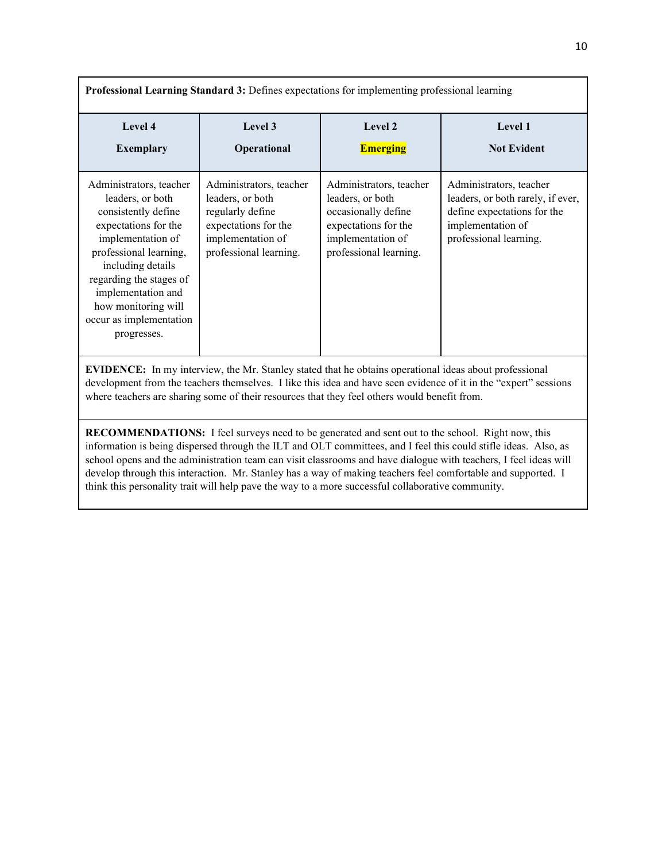| Professional Learning Standard 3: Defines expectations for implementing professional learning                                                                                                                                                                                                                                     |                                                                                                                                        |                                                                                                                                           |                                                                                                                                            |
|-----------------------------------------------------------------------------------------------------------------------------------------------------------------------------------------------------------------------------------------------------------------------------------------------------------------------------------|----------------------------------------------------------------------------------------------------------------------------------------|-------------------------------------------------------------------------------------------------------------------------------------------|--------------------------------------------------------------------------------------------------------------------------------------------|
| Level 4<br><b>Exemplary</b>                                                                                                                                                                                                                                                                                                       | Level 3<br>Operational                                                                                                                 | Level 2<br><b>Emerging</b>                                                                                                                | Level 1<br><b>Not Evident</b>                                                                                                              |
| Administrators, teacher<br>leaders, or both<br>consistently define<br>expectations for the<br>implementation of<br>professional learning,<br>including details<br>regarding the stages of<br>implementation and<br>how monitoring will<br>occur as implementation<br>progresses.                                                  | Administrators, teacher<br>leaders, or both<br>regularly define<br>expectations for the<br>implementation of<br>professional learning. | Administrators, teacher<br>leaders, or both<br>occasionally define<br>expectations for the<br>implementation of<br>professional learning. | Administrators, teacher<br>leaders, or both rarely, if ever,<br>define expectations for the<br>implementation of<br>professional learning. |
| <b>EVIDENCE:</b> In my interview, the Mr. Stanley stated that he obtains operational ideas about professional<br>development from the teachers themselves. I like this idea and have seen evidence of it in the "expert" sessions<br>where teachers are sharing some of their resources that they feel others would benefit from. |                                                                                                                                        |                                                                                                                                           |                                                                                                                                            |

**RECOMMENDATIONS:** I feel surveys need to be generated and sent out to the school. Right now, this information is being dispersed through the ILT and OLT committees, and I feel this could stifle ideas. Also, as school opens and the administration team can visit classrooms and have dialogue with teachers, I feel ideas will develop through this interaction. Mr. Stanley has a way of making teachers feel comfortable and supported. I think this personality trait will help pave the way to a more successful collaborative community.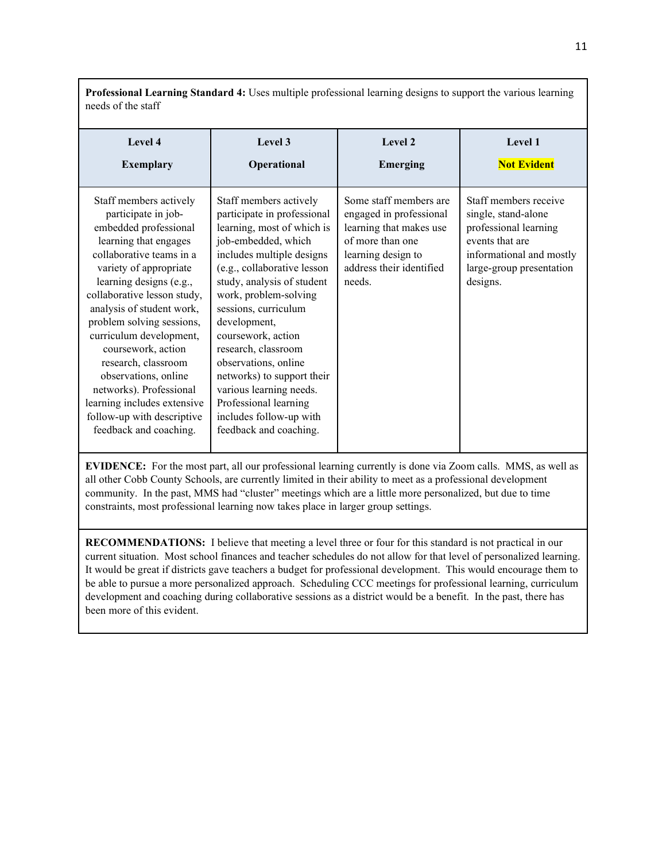**Professional Learning Standard 4:** Uses multiple professional learning designs to support the various learning needs of the staff

| Level 4<br><b>Exemplary</b>                                                                                                                                                                                                                                                                                                                                                                                                                                                                 | Level 3<br>Operational                                                                                                                                                                                                                                                                                                                                                                                                                                                            | Level 2<br>Emerging                                                                                                                                          | Level 1<br><b>Not Evident</b>                                                                                                                                |
|---------------------------------------------------------------------------------------------------------------------------------------------------------------------------------------------------------------------------------------------------------------------------------------------------------------------------------------------------------------------------------------------------------------------------------------------------------------------------------------------|-----------------------------------------------------------------------------------------------------------------------------------------------------------------------------------------------------------------------------------------------------------------------------------------------------------------------------------------------------------------------------------------------------------------------------------------------------------------------------------|--------------------------------------------------------------------------------------------------------------------------------------------------------------|--------------------------------------------------------------------------------------------------------------------------------------------------------------|
| Staff members actively<br>participate in job-<br>embedded professional<br>learning that engages<br>collaborative teams in a<br>variety of appropriate<br>learning designs (e.g.,<br>collaborative lesson study,<br>analysis of student work,<br>problem solving sessions,<br>curriculum development,<br>coursework, action<br>research, classroom<br>observations, online<br>networks). Professional<br>learning includes extensive<br>follow-up with descriptive<br>feedback and coaching. | Staff members actively<br>participate in professional<br>learning, most of which is<br>job-embedded, which<br>includes multiple designs<br>(e.g., collaborative lesson<br>study, analysis of student<br>work, problem-solving<br>sessions, curriculum<br>development,<br>coursework, action<br>research, classroom<br>observations, online<br>networks) to support their<br>various learning needs.<br>Professional learning<br>includes follow-up with<br>feedback and coaching. | Some staff members are<br>engaged in professional<br>learning that makes use<br>of more than one<br>learning design to<br>address their identified<br>needs. | Staff members receive<br>single, stand-alone<br>professional learning<br>events that are<br>informational and mostly<br>large-group presentation<br>designs. |

**EVIDENCE:** For the most part, all our professional learning currently is done via Zoom calls. MMS, as well as all other Cobb County Schools, are currently limited in their ability to meet as a professional development community. In the past, MMS had "cluster" meetings which are a little more personalized, but due to time constraints, most professional learning now takes place in larger group settings.

**RECOMMENDATIONS:** I believe that meeting a level three or four for this standard is not practical in our current situation. Most school finances and teacher schedules do not allow for that level of personalized learning. It would be great if districts gave teachers a budget for professional development. This would encourage them to be able to pursue a more personalized approach. Scheduling CCC meetings for professional learning, curriculum development and coaching during collaborative sessions as a district would be a benefit. In the past, there has been more of this evident.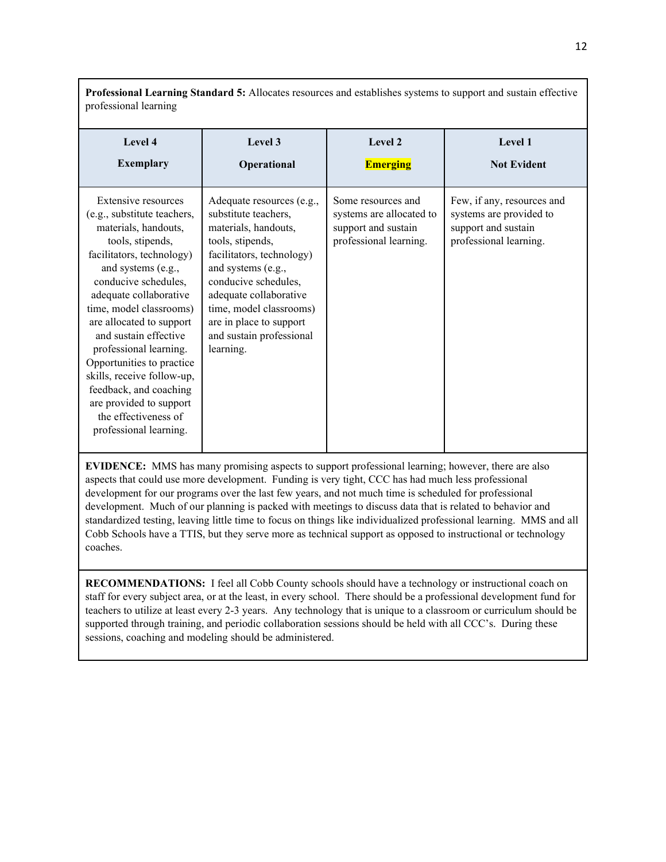professional learning **Level 4 Exemplary Level 3 Operational Level 2 Emerging Level 1 Not Evident** Extensive resources (e.g., substitute teachers, materials, handouts, tools, stipends, facilitators, technology) and systems (e.g., conducive schedules, adequate collaborative time, model classrooms) are allocated to support and sustain effective professional learning. Opportunities to practice skills, receive follow-up, feedback, and coaching are provided to support the effectiveness of professional learning. Adequate resources (e.g., substitute teachers, materials, handouts, tools, stipends, facilitators, technology) and systems (e.g., conducive schedules, adequate collaborative time, model classrooms) are in place to support and sustain professional learning. Some resources and systems are allocated to support and sustain professional learning. Few, if any, resources and systems are provided to support and sustain professional learning.

**Professional Learning Standard 5:** Allocates resources and establishes systems to support and sustain effective

**EVIDENCE:** MMS has many promising aspects to support professional learning; however, there are also aspects that could use more development. Funding is very tight, CCC has had much less professional development for our programs over the last few years, and not much time is scheduled for professional development. Much of our planning is packed with meetings to discuss data that is related to behavior and standardized testing, leaving little time to focus on things like individualized professional learning. MMS and all Cobb Schools have a TTIS, but they serve more as technical support as opposed to instructional or technology coaches.

**RECOMMENDATIONS:** I feel all Cobb County schools should have a technology or instructional coach on staff for every subject area, or at the least, in every school. There should be a professional development fund for teachers to utilize at least every 2-3 years. Any technology that is unique to a classroom or curriculum should be supported through training, and periodic collaboration sessions should be held with all CCC's. During these sessions, coaching and modeling should be administered.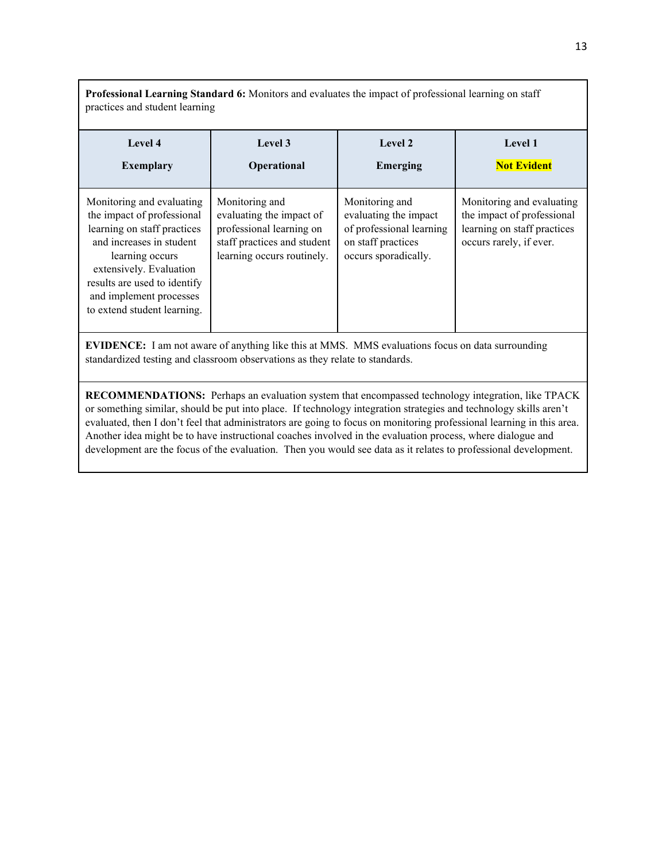**Professional Learning Standard 6:** Monitors and evaluates the impact of professional learning on staff practices and student learning

| Level 4<br><b>Exemplary</b>                                                                                                                                                                                                                                | Level 3<br>Operational                                                                                                              | Level 2<br><b>Emerging</b>                                                                                        | Level 1<br><b>Not Evident</b>                                                                                     |
|------------------------------------------------------------------------------------------------------------------------------------------------------------------------------------------------------------------------------------------------------------|-------------------------------------------------------------------------------------------------------------------------------------|-------------------------------------------------------------------------------------------------------------------|-------------------------------------------------------------------------------------------------------------------|
| Monitoring and evaluating<br>the impact of professional<br>learning on staff practices<br>and increases in student<br>learning occurs<br>extensively. Evaluation<br>results are used to identify<br>and implement processes<br>to extend student learning. | Monitoring and<br>evaluating the impact of<br>professional learning on<br>staff practices and student<br>learning occurs routinely. | Monitoring and<br>evaluating the impact<br>of professional learning<br>on staff practices<br>occurs sporadically. | Monitoring and evaluating<br>the impact of professional<br>learning on staff practices<br>occurs rarely, if ever. |

**EVIDENCE:** I am not aware of anything like this at MMS. MMS evaluations focus on data surrounding standardized testing and classroom observations as they relate to standards.

**RECOMMENDATIONS:** Perhaps an evaluation system that encompassed technology integration, like TPACK or something similar, should be put into place. If technology integration strategies and technology skills aren't evaluated, then I don't feel that administrators are going to focus on monitoring professional learning in this area. Another idea might be to have instructional coaches involved in the evaluation process, where dialogue and development are the focus of the evaluation. Then you would see data as it relates to professional development.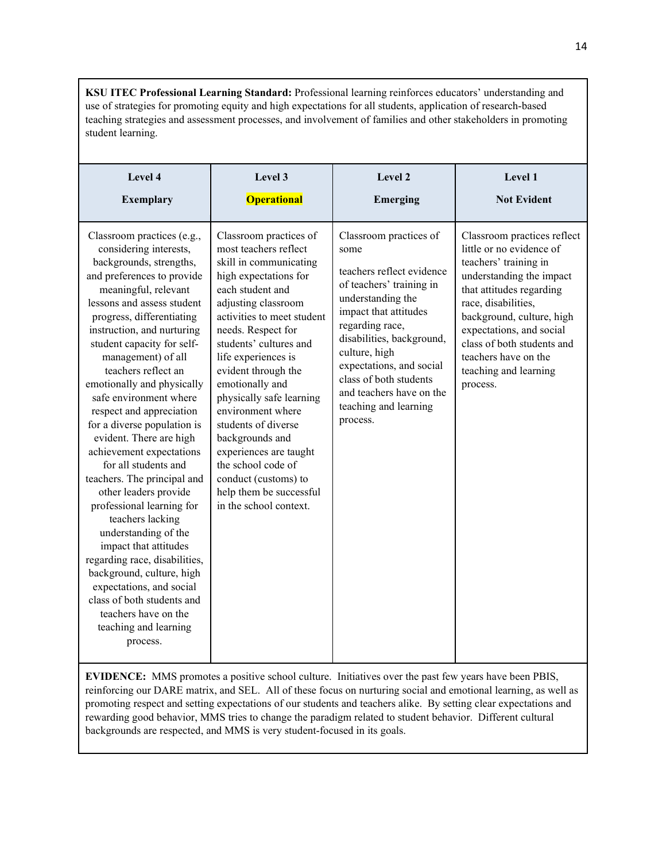**KSU ITEC Professional Learning Standard:** Professional learning reinforces educators' understanding and use of strategies for promoting equity and high expectations for all students, application of research-based teaching strategies and assessment processes, and involvement of families and other stakeholders in promoting student learning.

| Level 4                                                                                                                                                                                                                                                                                                                                                                                                                                                                                                                                                                                                                                                                                                                                                                                                                                                    | Level 3                                                                                                                                                                                                                                                                                                                                                                                                                                                                                                              | Level 2                                                                                                                                                                                                                                                                                                                       | Level 1                                                                                                                                                                                                                                                                                                             |
|------------------------------------------------------------------------------------------------------------------------------------------------------------------------------------------------------------------------------------------------------------------------------------------------------------------------------------------------------------------------------------------------------------------------------------------------------------------------------------------------------------------------------------------------------------------------------------------------------------------------------------------------------------------------------------------------------------------------------------------------------------------------------------------------------------------------------------------------------------|----------------------------------------------------------------------------------------------------------------------------------------------------------------------------------------------------------------------------------------------------------------------------------------------------------------------------------------------------------------------------------------------------------------------------------------------------------------------------------------------------------------------|-------------------------------------------------------------------------------------------------------------------------------------------------------------------------------------------------------------------------------------------------------------------------------------------------------------------------------|---------------------------------------------------------------------------------------------------------------------------------------------------------------------------------------------------------------------------------------------------------------------------------------------------------------------|
| <b>Exemplary</b>                                                                                                                                                                                                                                                                                                                                                                                                                                                                                                                                                                                                                                                                                                                                                                                                                                           | <b>Operational</b>                                                                                                                                                                                                                                                                                                                                                                                                                                                                                                   | <b>Emerging</b>                                                                                                                                                                                                                                                                                                               | <b>Not Evident</b>                                                                                                                                                                                                                                                                                                  |
| Classroom practices (e.g.,<br>considering interests,<br>backgrounds, strengths,<br>and preferences to provide<br>meaningful, relevant<br>lessons and assess student<br>progress, differentiating<br>instruction, and nurturing<br>student capacity for self-<br>management) of all<br>teachers reflect an<br>emotionally and physically<br>safe environment where<br>respect and appreciation<br>for a diverse population is<br>evident. There are high<br>achievement expectations<br>for all students and<br>teachers. The principal and<br>other leaders provide<br>professional learning for<br>teachers lacking<br>understanding of the<br>impact that attitudes<br>regarding race, disabilities,<br>background, culture, high<br>expectations, and social<br>class of both students and<br>teachers have on the<br>teaching and learning<br>process. | Classroom practices of<br>most teachers reflect<br>skill in communicating<br>high expectations for<br>each student and<br>adjusting classroom<br>activities to meet student<br>needs. Respect for<br>students' cultures and<br>life experiences is<br>evident through the<br>emotionally and<br>physically safe learning<br>environment where<br>students of diverse<br>backgrounds and<br>experiences are taught<br>the school code of<br>conduct (customs) to<br>help them be successful<br>in the school context. | Classroom practices of<br>some<br>teachers reflect evidence<br>of teachers' training in<br>understanding the<br>impact that attitudes<br>regarding race,<br>disabilities, background,<br>culture, high<br>expectations, and social<br>class of both students<br>and teachers have on the<br>teaching and learning<br>process. | Classroom practices reflect<br>little or no evidence of<br>teachers' training in<br>understanding the impact<br>that attitudes regarding<br>race, disabilities,<br>background, culture, high<br>expectations, and social<br>class of both students and<br>teachers have on the<br>teaching and learning<br>process. |

**EVIDENCE:** MMS promotes a positive school culture. Initiatives over the past few years have been PBIS, reinforcing our DARE matrix, and SEL. All of these focus on nurturing social and emotional learning, as well as promoting respect and setting expectations of our students and teachers alike. By setting clear expectations and rewarding good behavior, MMS tries to change the paradigm related to student behavior. Different cultural backgrounds are respected, and MMS is very student-focused in its goals.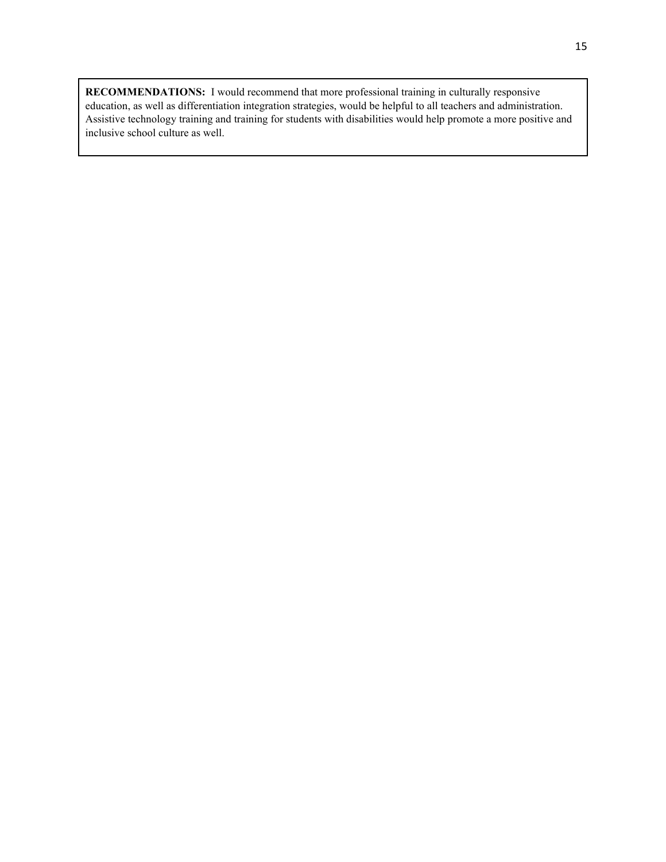**RECOMMENDATIONS:** I would recommend that more professional training in culturally responsive education, as well as differentiation integration strategies, would be helpful to all teachers and administration. Assistive technology training and training for students with disabilities would help promote a more positive and inclusive school culture as well.